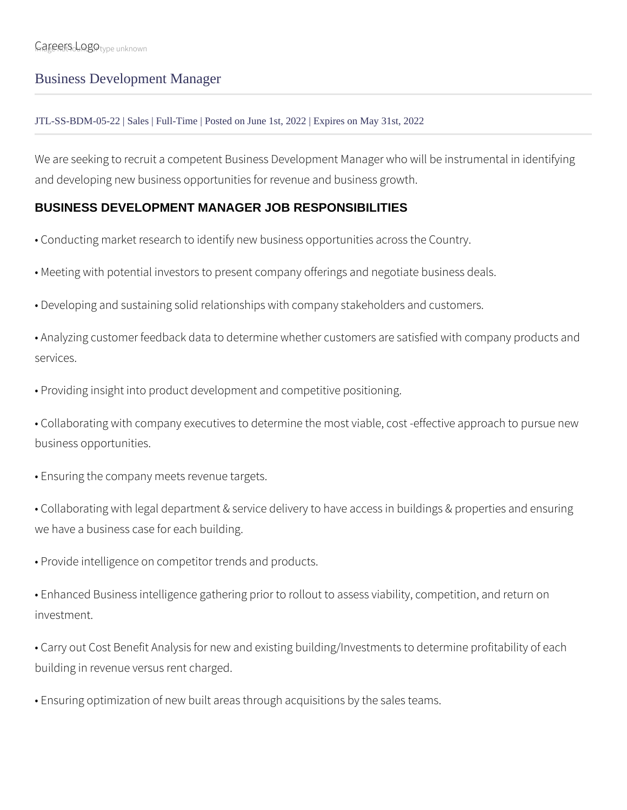## Business Development Manager

## JTL-SS-BDM-05-22 | Sales | Full-Time | Posted on June 1st, 2022 | Expires on May 31st, 2022

We are seeking to recruit a competent Business Development Manager who will be instrumental in identifying and developing new business opportunities for revenue and business growth.

## **BUSINESS DEVELOPMENT MANAGER JOB RESPONSIBILITIES**

- Conducting market research to identify new business opportunities across the Country.
- Meeting with potential investors to present company offerings and negotiate business deals.
- Developing and sustaining solid relationships with company stakeholders and customers.

• Analyzing customer feedback data to determine whether customers are satisfied with company products and services.

• Providing insight into product development and competitive positioning.

• Collaborating with company executives to determine the most viable, cost -effective approach to pursue new business opportunities.

- Ensuring the company meets revenue targets.
- Collaborating with legal department & service delivery to have access in buildings & properties and ensuring we have a business case for each building.
- Provide intelligence on competitor trends and products.
- Enhanced Business intelligence gathering prior to rollout to assess viability, competition, and return on investment.
- Carry out Cost Benefit Analysis for new and existing building/Investments to determine profitability of each building in revenue versus rent charged.
- Ensuring optimization of new built areas through acquisitions by the sales teams.